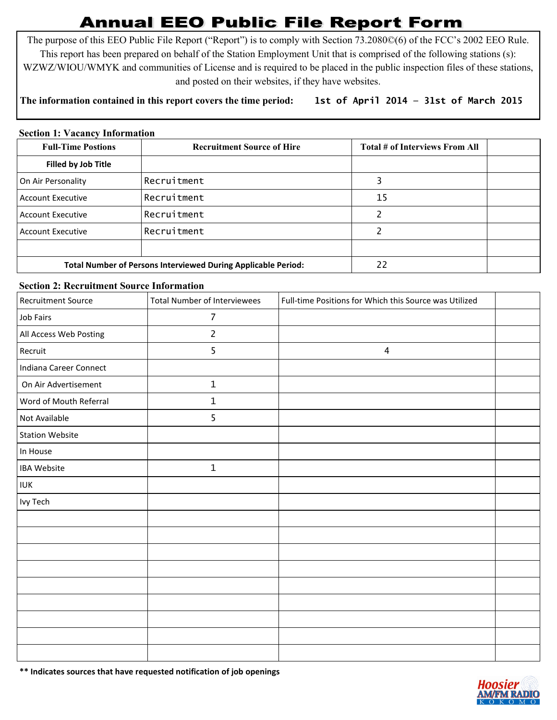# **Annual EEO Public File Report Form**

The purpose of this EEO Public File Report ("Report") is to comply with Section 73.2080©(6) of the FCC's 2002 EEO Rule. This report has been prepared on behalf of the Station Employment Unit that is comprised of the following stations (s): WZWZ/WIOU/WMYK and communities of License and is required to be placed in the public inspection files of these stations, and posted on their websites, if they have websites.

## **The information contained in this report covers the time period: 1st of April 2014 — 31st of March 2015**

#### **Section 1: Vacancy Information**

| <b>Full-Time Postions</b>                                            | <b>Recruitment Source of Hire</b> | Total # of Interviews From All |  |
|----------------------------------------------------------------------|-----------------------------------|--------------------------------|--|
| <b>Filled by Job Title</b>                                           |                                   |                                |  |
| On Air Personality                                                   | Recruitment                       |                                |  |
| l Account Executive                                                  | Recruitment                       | 15                             |  |
| Account Executive                                                    | Recruitment                       |                                |  |
| Account Executive                                                    | Recruitment                       |                                |  |
|                                                                      |                                   |                                |  |
| <b>Total Number of Persons Interviewed During Applicable Period:</b> |                                   | 22                             |  |

#### **Section 2: Recruitment Source Information**

| <b>Recruitment Source</b> | <b>Total Number of Interviewees</b> | Full-time Positions for Which this Source was Utilized |  |
|---------------------------|-------------------------------------|--------------------------------------------------------|--|
| Job Fairs                 | $\overline{7}$                      |                                                        |  |
| All Access Web Posting    | $\overline{2}$                      |                                                        |  |
| Recruit                   | 5                                   | $\overline{4}$                                         |  |
| Indiana Career Connect    |                                     |                                                        |  |
| On Air Advertisement      | $\mathbf 1$                         |                                                        |  |
| Word of Mouth Referral    | $\mathbf{1}$                        |                                                        |  |
| Not Available             | 5                                   |                                                        |  |
| <b>Station Website</b>    |                                     |                                                        |  |
| In House                  |                                     |                                                        |  |
| <b>IBA Website</b>        | $\mathbf 1$                         |                                                        |  |
| <b>IUK</b>                |                                     |                                                        |  |
| Ivy Tech                  |                                     |                                                        |  |
|                           |                                     |                                                        |  |
|                           |                                     |                                                        |  |
|                           |                                     |                                                        |  |
|                           |                                     |                                                        |  |
|                           |                                     |                                                        |  |
|                           |                                     |                                                        |  |
|                           |                                     |                                                        |  |
|                           |                                     |                                                        |  |
|                           |                                     |                                                        |  |

**\*\* Indicates sources that have requested notification of job openings**